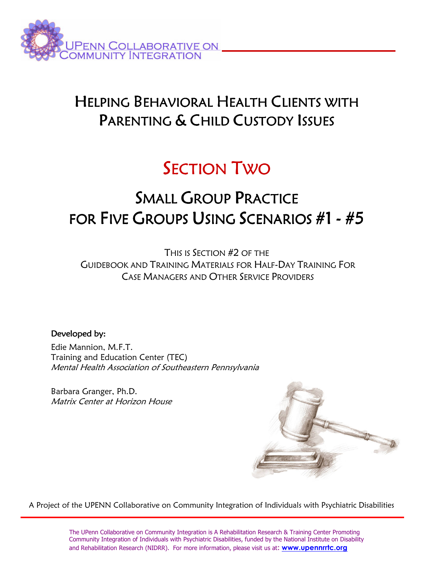

# HELPING BEHAVIORAL HEALTH CLIENTS WITH PARENTING & CHILD CUSTODY ISSUES

# SECTION TWO

# SMALL GROUP PRACTICE FOR FIVE GROUPS USING SCENARIOS #1 - #5

THIS IS SECTION #2 OF THE GUIDEBOOK AND TRAINING MATERIALS FOR HALF-DAY TRAINING FOR CASE MANAGERS AND OTHER SERVICE PROVIDERS

# Developed by:

Edie Mannion, M.F.T. Training and Education Center (TEC) Mental Health Association of Southeastern Pennsylvania

Barbara Granger, Ph.D. Matrix Center at Horizon House



A Project of the UPENN Collaborative on Community Integration of Individuals with Psychiatric Disabilities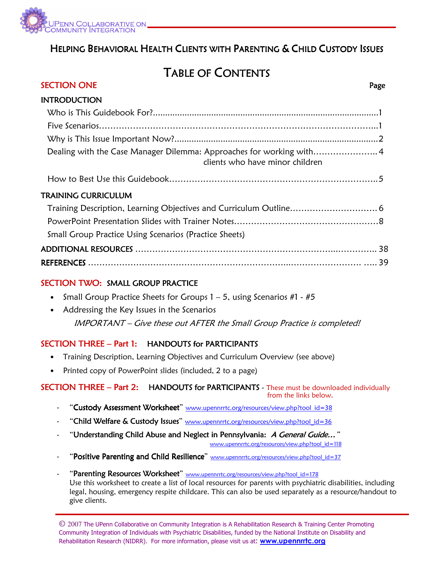

# HELPING BEHAVIORAL HEALTH CLIENTS WITH PARENTING & CHILD CUSTODY ISSUES

Ξ

# TABLE OF CONTENTS

# SECTION ONE Page

| <b>INTRODUCTION</b>                                                                                    |  |
|--------------------------------------------------------------------------------------------------------|--|
|                                                                                                        |  |
|                                                                                                        |  |
|                                                                                                        |  |
| Dealing with the Case Manager Dilemma: Approaches for working with4<br>clients who have minor children |  |
|                                                                                                        |  |
| TRAINING CURRICULUM                                                                                    |  |
|                                                                                                        |  |
|                                                                                                        |  |
| <b>Small Group Practice Using Scenarios (Practice Sheets)</b>                                          |  |
|                                                                                                        |  |
|                                                                                                        |  |
|                                                                                                        |  |

# SECTION TWO: SMALL GROUP PRACTICE

- Small Group Practice Sheets for Groups  $1 5$ , using Scenarios #1 #5
- Addressing the Key Issues in the Scenarios IMPORTANT – Give these out AFTER the Small Group Practice is completed!

# SECTION THREE – Part 1: HANDOUTS for PARTICIPANTS

- Training Description, Learning Objectives and Curriculum Overview (see above)
- Printed copy of PowerPoint slides (included, 2 to a page)

#### SECTION THREE – Part 2: HANDOUTS for PARTICIPANTS - These must be downloaded individually from the links below.

- "Custody Assessment Worksheet" www.upennrrtc.org/resources/view.php?tool\_id=38
- "Child Welfare & Custody Issues" www.upennrrtc.org/resources/view.php?tool\_id=36
- "Understanding Child Abuse and Neglect in Pennsylvania: A General Guide..."

www.upennrrtc.org/resources/view.php?tool\_id=118

- "Positive Parenting and Child Resilience" www.upennrrtc.org/resources/view.php?tool\_id=37
- "Parenting Resources Worksheet" www.upennrrtc.org/resources/view.php?tool\_id=178 Use this worksheet to create a list of local resources for parents with psychiatric disabilities, including legal, housing, emergency respite childcare. This can also be used separately as a resource/handout to give clients.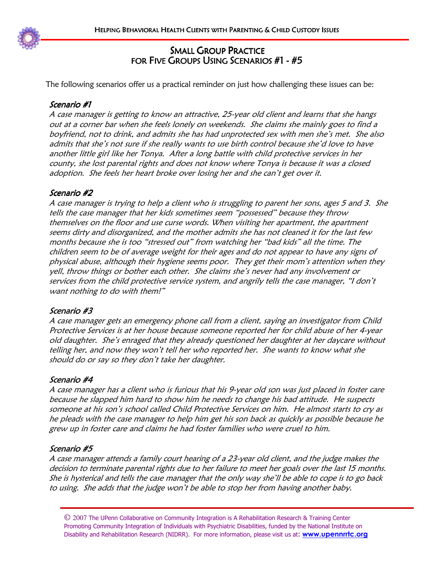

# SMALL GROUP PRACTICE FOR FIVE GROUPS USING SCENARIOS #1 - #5

The following scenarios offer us a practical reminder on just how challenging these issues can be:

# Scenario #1

A case manager is getting to know an attractive, 25-year old client and learns that she hangs out at a corner bar when she feels lonely on weekends. She claims she mainly goes to find a boyfriend, not to drink, and admits she has had unprotected sex with men she's met. She also admits that she's not sure if she really wants to use birth control because she'd love to have another little girl like her Tonya. After a long battle with child protective services in her county, she lost parental rights and does not know where Tonya is because it was a closed adoption. She feels her heart broke over losing her and she can't get over it.

# Scenario #2

A case manager is trying to help a client who is struggling to parent her sons, ages 5 and 3. She tells the case manager that her kids sometimes seem "possessed" because they throw themselves on the floor and use curse words. When visiting her apartment, the apartment seems dirty and disorganized, and the mother admits she has not cleaned it for the last few months because she is too "stressed out" from watching her "bad kids" all the time. The children seem to be of average weight for their ages and do not appear to have any signs of physical abuse, although their hygiene seems poor. They get their mom's attention when they yell, throw things or bother each other. She claims she's never had any involvement or services from the child protective service system, and angrily tells the case manager, "I don't want nothing to do with them!"

# Scenario #3

A case manager gets an emergency phone call from a client, saying an investigator from Child Protective Services is at her house because someone reported her for child abuse of her 4-year old daughter. She's enraged that they already questioned her daughter at her daycare without telling her, and now they won't tell her who reported her. She wants to know what she should do or say so they don't take her daughter.

# Scenario #4

A case manager has a client who is furious that his 9-year old son was just placed in foster care because he slapped him hard to show him he needs to change his bad attitude. He suspects someone at his son's school called Child Protective Services on him. He almost starts to cry as he pleads with the case manager to help him get his son back as quickly as possible because he grew up in foster care and claims he had foster families who were cruel to him.

# Scenario #5

A case manager attends a family court hearing of a 23-year old client, and the judge makes the decision to terminate parental rights due to her failure to meet her goals over the last 15 months. She is hysterical and tells the case manager that the only way she'll be able to cope is to go back to using. She adds that the judge won't be able to stop her from having another baby.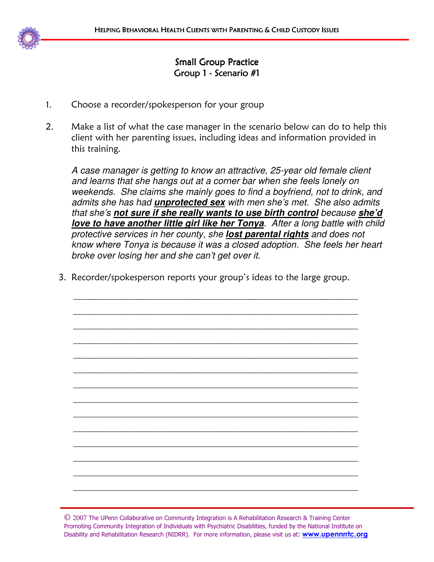

# **Small Group Practice** Group 1 - Scenario #1

- 1. Choose a recorder/spokesperson for your group
- 2. Make a list of what the case manager in the scenario below can do to help this client with her parenting issues, including ideas and information provided in this training.

A case manager is getting to know an attractive, 25-year old female client and learns that she hangs out at a corner bar when she feels lonely on weekends. She claims she mainly goes to find a boyfriend, not to drink, and admits she has had **unprotected sex** with men she's met. She also admits that she's **not sure if she really wants to use birth control** because **she'd love to have another little girl like her Tonya**. After a long battle with child protective services in her county, she **lost parental rights** and does not know where Tonya is because it was a closed adoption. She feels her heart broke over losing her and she can't get over it.

3. Recorder/spokesperson reports your group's ideas to the large group.

\_\_\_\_\_\_\_\_\_\_\_\_\_\_\_\_\_\_\_\_\_\_\_\_\_\_\_\_\_\_\_\_\_\_\_\_\_\_\_\_\_\_\_\_\_\_\_\_\_\_\_\_\_\_\_\_\_\_\_\_\_\_\_\_\_\_\_

\_\_\_\_\_\_\_\_\_\_\_\_\_\_\_\_\_\_\_\_\_\_\_\_\_\_\_\_\_\_\_\_\_\_\_\_\_\_\_\_\_\_\_\_\_\_\_\_\_\_\_\_\_\_\_\_\_\_\_\_\_\_\_\_\_\_\_

\_\_\_\_\_\_\_\_\_\_\_\_\_\_\_\_\_\_\_\_\_\_\_\_\_\_\_\_\_\_\_\_\_\_\_\_\_\_\_\_\_\_\_\_\_\_\_\_\_\_\_\_\_\_\_\_\_\_\_\_\_\_\_\_\_\_\_

\_\_\_\_\_\_\_\_\_\_\_\_\_\_\_\_\_\_\_\_\_\_\_\_\_\_\_\_\_\_\_\_\_\_\_\_\_\_\_\_\_\_\_\_\_\_\_\_\_\_\_\_\_\_\_\_\_\_\_\_\_\_\_\_\_\_\_

\_\_\_\_\_\_\_\_\_\_\_\_\_\_\_\_\_\_\_\_\_\_\_\_\_\_\_\_\_\_\_\_\_\_\_\_\_\_\_\_\_\_\_\_\_\_\_\_\_\_\_\_\_\_\_\_\_\_\_\_\_\_\_\_\_\_\_

\_\_\_\_\_\_\_\_\_\_\_\_\_\_\_\_\_\_\_\_\_\_\_\_\_\_\_\_\_\_\_\_\_\_\_\_\_\_\_\_\_\_\_\_\_\_\_\_\_\_\_\_\_\_\_\_\_\_\_\_\_\_\_\_\_\_\_

\_\_\_\_\_\_\_\_\_\_\_\_\_\_\_\_\_\_\_\_\_\_\_\_\_\_\_\_\_\_\_\_\_\_\_\_\_\_\_\_\_\_\_\_\_\_\_\_\_\_\_\_\_\_\_\_\_\_\_\_\_\_\_\_\_\_\_

\_\_\_\_\_\_\_\_\_\_\_\_\_\_\_\_\_\_\_\_\_\_\_\_\_\_\_\_\_\_\_\_\_\_\_\_\_\_\_\_\_\_\_\_\_\_\_\_\_\_\_\_\_\_\_\_\_\_\_\_\_\_\_\_\_\_\_

\_\_\_\_\_\_\_\_\_\_\_\_\_\_\_\_\_\_\_\_\_\_\_\_\_\_\_\_\_\_\_\_\_\_\_\_\_\_\_\_\_\_\_\_\_\_\_\_\_\_\_\_\_\_\_\_\_\_\_\_\_\_\_\_\_\_\_

\_\_\_\_\_\_\_\_\_\_\_\_\_\_\_\_\_\_\_\_\_\_\_\_\_\_\_\_\_\_\_\_\_\_\_\_\_\_\_\_\_\_\_\_\_\_\_\_\_\_\_\_\_\_\_\_\_\_\_\_\_\_\_\_\_\_\_

\_\_\_\_\_\_\_\_\_\_\_\_\_\_\_\_\_\_\_\_\_\_\_\_\_\_\_\_\_\_\_\_\_\_\_\_\_\_\_\_\_\_\_\_\_\_\_\_\_\_\_\_\_\_\_\_\_\_\_\_\_\_\_\_\_\_\_

\_\_\_\_\_\_\_\_\_\_\_\_\_\_\_\_\_\_\_\_\_\_\_\_\_\_\_\_\_\_\_\_\_\_\_\_\_\_\_\_\_\_\_\_\_\_\_\_\_\_\_\_\_\_\_\_\_\_\_\_\_\_\_\_\_\_\_

\_\_\_\_\_\_\_\_\_\_\_\_\_\_\_\_\_\_\_\_\_\_\_\_\_\_\_\_\_\_\_\_\_\_\_\_\_\_\_\_\_\_\_\_\_\_\_\_\_\_\_\_\_\_\_\_\_\_\_\_\_\_\_\_\_\_\_

\_\_\_\_\_\_\_\_\_\_\_\_\_\_\_\_\_\_\_\_\_\_\_\_\_\_\_\_\_\_\_\_\_\_\_\_\_\_\_\_\_\_\_\_\_\_\_\_\_\_\_\_\_\_\_\_\_\_\_\_\_\_\_\_\_\_\_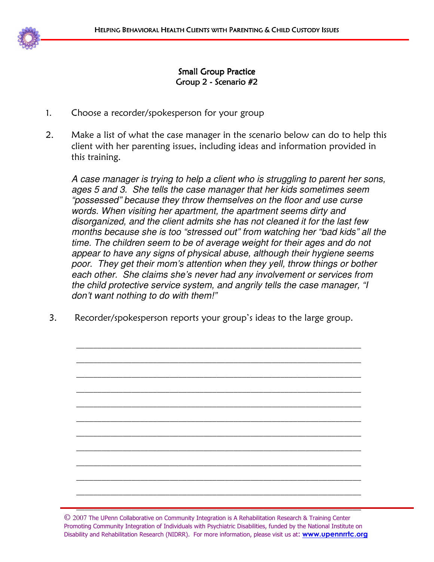

# Small Group Practice Group 2 - Scenario #2

- 1. Choose a recorder/spokesperson for your group
- 2. Make a list of what the case manager in the scenario below can do to help this client with her parenting issues, including ideas and information provided in this training.

A case manager is trying to help a client who is struggling to parent her sons, ages 5 and 3. She tells the case manager that her kids sometimes seem "possessed" because they throw themselves on the floor and use curse words. When visiting her apartment, the apartment seems dirty and disorganized, and the client admits she has not cleaned it for the last few months because she is too "stressed out" from watching her "bad kids" all the time. The children seem to be of average weight for their ages and do not appear to have any signs of physical abuse, although their hygiene seems poor. They get their mom's attention when they yell, throw things or bother each other. She claims she's never had any involvement or services from the child protective service system, and angrily tells the case manager, "I don't want nothing to do with them!"

3. Recorder/spokesperson reports your group's ideas to the large group.

\_\_\_\_\_\_\_\_\_\_\_\_\_\_\_\_\_\_\_\_\_\_\_\_\_\_\_\_\_\_\_\_\_\_\_\_\_\_\_\_\_\_\_\_\_\_\_\_\_\_\_\_\_\_\_\_\_\_\_\_\_\_\_\_\_\_\_

\_\_\_\_\_\_\_\_\_\_\_\_\_\_\_\_\_\_\_\_\_\_\_\_\_\_\_\_\_\_\_\_\_\_\_\_\_\_\_\_\_\_\_\_\_\_\_\_\_\_\_\_\_\_\_\_\_\_\_\_\_\_\_\_\_\_\_

\_\_\_\_\_\_\_\_\_\_\_\_\_\_\_\_\_\_\_\_\_\_\_\_\_\_\_\_\_\_\_\_\_\_\_\_\_\_\_\_\_\_\_\_\_\_\_\_\_\_\_\_\_\_\_\_\_\_\_\_\_\_\_\_\_\_\_

\_\_\_\_\_\_\_\_\_\_\_\_\_\_\_\_\_\_\_\_\_\_\_\_\_\_\_\_\_\_\_\_\_\_\_\_\_\_\_\_\_\_\_\_\_\_\_\_\_\_\_\_\_\_\_\_\_\_\_\_\_\_\_\_\_\_\_

\_\_\_\_\_\_\_\_\_\_\_\_\_\_\_\_\_\_\_\_\_\_\_\_\_\_\_\_\_\_\_\_\_\_\_\_\_\_\_\_\_\_\_\_\_\_\_\_\_\_\_\_\_\_\_\_\_\_\_\_\_\_\_\_\_\_\_

\_\_\_\_\_\_\_\_\_\_\_\_\_\_\_\_\_\_\_\_\_\_\_\_\_\_\_\_\_\_\_\_\_\_\_\_\_\_\_\_\_\_\_\_\_\_\_\_\_\_\_\_\_\_\_\_\_\_\_\_\_\_\_\_\_\_\_

\_\_\_\_\_\_\_\_\_\_\_\_\_\_\_\_\_\_\_\_\_\_\_\_\_\_\_\_\_\_\_\_\_\_\_\_\_\_\_\_\_\_\_\_\_\_\_\_\_\_\_\_\_\_\_\_\_\_\_\_\_\_\_\_\_\_\_

\_\_\_\_\_\_\_\_\_\_\_\_\_\_\_\_\_\_\_\_\_\_\_\_\_\_\_\_\_\_\_\_\_\_\_\_\_\_\_\_\_\_\_\_\_\_\_\_\_\_\_\_\_\_\_\_\_\_\_\_\_\_\_\_\_\_\_

\_\_\_\_\_\_\_\_\_\_\_\_\_\_\_\_\_\_\_\_\_\_\_\_\_\_\_\_\_\_\_\_\_\_\_\_\_\_\_\_\_\_\_\_\_\_\_\_\_\_\_\_\_\_\_\_\_\_\_\_\_\_\_\_\_\_\_

\_\_\_\_\_\_\_\_\_\_\_\_\_\_\_\_\_\_\_\_\_\_\_\_\_\_\_\_\_\_\_\_\_\_\_\_\_\_\_\_\_\_\_\_\_\_\_\_\_\_\_\_\_\_\_\_\_\_\_\_\_\_\_\_\_\_\_

\_\_\_\_\_\_\_\_\_\_\_\_\_\_\_\_\_\_\_\_\_\_\_\_\_\_\_\_\_\_\_\_\_\_\_\_\_\_\_\_\_\_\_\_\_\_\_\_\_\_\_\_\_\_\_\_\_\_\_\_\_\_\_\_\_\_\_

 $\overline{\phantom{a}}$  , and the contribution of the contribution of the contribution of the contribution of the contribution of the contribution of the contribution of the contribution of the contribution of the contribution of the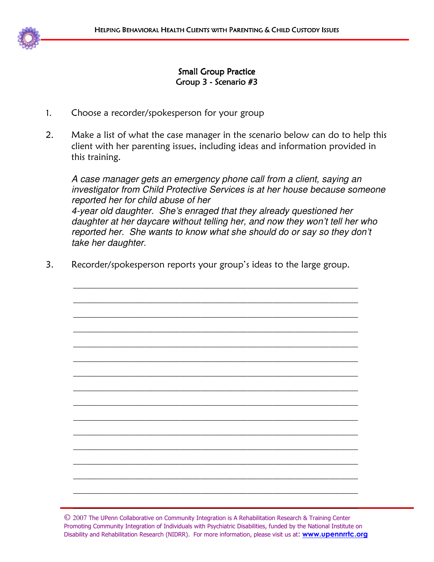

# Small Group Practice Group 3 - Scenario #3

- 1. Choose a recorder/spokesperson for your group
- 2. Make a list of what the case manager in the scenario below can do to help this client with her parenting issues, including ideas and information provided in this training.

A case manager gets an emergency phone call from a client, saying an investigator from Child Protective Services is at her house because someone reported her for child abuse of her 4-year old daughter. She's enraged that they already questioned her daughter at her daycare without telling her, and now they won't tell her who reported her. She wants to know what she should do or say so they don't take her daughter.

3. Recorder/spokesperson reports your group's ideas to the large group.

j  $\overline{a}$ 

\_\_\_\_\_\_\_\_\_\_\_\_\_\_\_\_\_\_\_\_\_\_\_\_\_\_\_\_\_\_\_\_\_\_\_\_\_\_\_\_\_\_\_\_\_\_\_\_\_\_\_\_\_\_\_\_\_\_\_\_\_\_\_\_\_\_\_

\_\_\_\_\_\_\_\_\_\_\_\_\_\_\_\_\_\_\_\_\_\_\_\_\_\_\_\_\_\_\_\_\_\_\_\_\_\_\_\_\_\_\_\_\_\_\_\_\_\_\_\_\_\_\_\_\_\_\_\_\_\_\_\_\_\_\_

\_\_\_\_\_\_\_\_\_\_\_\_\_\_\_\_\_\_\_\_\_\_\_\_\_\_\_\_\_\_\_\_\_\_\_\_\_\_\_\_\_\_\_\_\_\_\_\_\_\_\_\_\_\_\_\_\_\_\_\_\_\_\_\_\_\_\_

\_\_\_\_\_\_\_\_\_\_\_\_\_\_\_\_\_\_\_\_\_\_\_\_\_\_\_\_\_\_\_\_\_\_\_\_\_\_\_\_\_\_\_\_\_\_\_\_\_\_\_\_\_\_\_\_\_\_\_\_\_\_\_\_\_\_\_

\_\_\_\_\_\_\_\_\_\_\_\_\_\_\_\_\_\_\_\_\_\_\_\_\_\_\_\_\_\_\_\_\_\_\_\_\_\_\_\_\_\_\_\_\_\_\_\_\_\_\_\_\_\_\_\_\_\_\_\_\_\_\_\_\_\_\_

\_\_\_\_\_\_\_\_\_\_\_\_\_\_\_\_\_\_\_\_\_\_\_\_\_\_\_\_\_\_\_\_\_\_\_\_\_\_\_\_\_\_\_\_\_\_\_\_\_\_\_\_\_\_\_\_\_\_\_\_\_\_\_\_\_\_\_

\_\_\_\_\_\_\_\_\_\_\_\_\_\_\_\_\_\_\_\_\_\_\_\_\_\_\_\_\_\_\_\_\_\_\_\_\_\_\_\_\_\_\_\_\_\_\_\_\_\_\_\_\_\_\_\_\_\_\_\_\_\_\_\_\_\_\_

\_\_\_\_\_\_\_\_\_\_\_\_\_\_\_\_\_\_\_\_\_\_\_\_\_\_\_\_\_\_\_\_\_\_\_\_\_\_\_\_\_\_\_\_\_\_\_\_\_\_\_\_\_\_\_\_\_\_\_\_\_\_\_\_\_\_\_

\_\_\_\_\_\_\_\_\_\_\_\_\_\_\_\_\_\_\_\_\_\_\_\_\_\_\_\_\_\_\_\_\_\_\_\_\_\_\_\_\_\_\_\_\_\_\_\_\_\_\_\_\_\_\_\_\_\_\_\_\_\_\_\_\_\_\_

j  $\overline{a}$ 

İ  $\overline{a}$ 

\_\_\_\_\_\_\_\_\_\_\_\_\_\_\_\_\_\_\_\_\_\_\_\_\_\_\_\_\_\_\_\_\_\_\_\_\_\_\_\_\_\_\_\_\_\_\_\_\_\_\_\_\_\_\_\_\_\_\_\_\_\_\_\_\_\_\_

\_\_\_\_\_\_\_\_\_\_\_\_\_\_\_\_\_\_\_\_\_\_\_\_\_\_\_\_\_\_\_\_\_\_\_\_\_\_\_\_\_\_\_\_\_\_\_\_\_\_\_\_\_\_\_\_\_\_\_\_\_\_\_\_\_\_\_

\_\_\_\_\_\_\_\_\_\_\_\_\_\_\_\_\_\_\_\_\_\_\_\_\_\_\_\_\_\_\_\_\_\_\_\_\_\_\_\_\_\_\_\_\_\_\_\_\_\_\_\_\_\_\_\_\_\_\_\_\_\_\_\_\_\_\_

\_\_\_\_\_\_\_\_\_\_\_\_\_\_\_\_\_\_\_\_\_\_\_\_\_\_\_\_\_\_\_\_\_\_\_\_\_\_\_\_\_\_\_\_\_\_\_\_\_\_\_\_\_\_\_\_\_\_\_\_\_\_\_\_\_\_\_

\_\_\_\_\_\_\_\_\_\_\_\_\_\_\_\_\_\_\_\_\_\_\_\_\_\_\_\_\_\_\_\_\_\_\_\_\_\_\_\_\_\_\_\_\_\_\_\_\_\_\_\_\_\_\_\_\_\_\_\_\_\_\_\_\_\_\_

\_\_\_\_\_\_\_\_\_\_\_\_\_\_\_\_\_\_\_\_\_\_\_\_\_\_\_\_\_\_\_\_\_\_\_\_\_\_\_\_\_\_\_\_\_\_\_\_\_\_\_\_\_\_\_\_\_\_\_\_\_\_\_\_\_\_\_

\_\_\_\_\_\_\_\_\_\_\_\_\_\_\_\_\_\_\_\_\_\_\_\_\_\_\_\_\_\_\_\_\_\_\_\_\_\_\_\_\_\_\_\_\_\_\_\_\_\_\_\_\_\_\_\_\_\_\_\_\_\_\_\_\_\_\_

-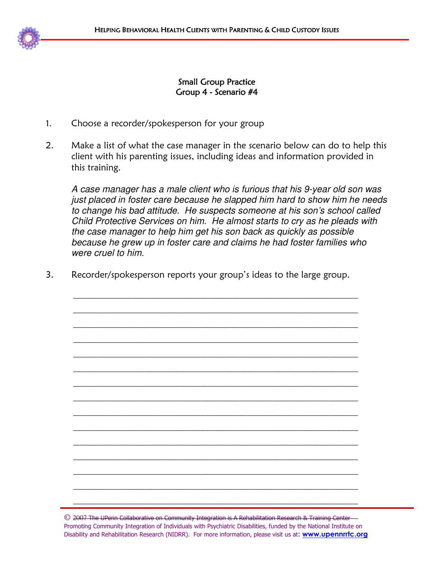# **Small Group Practice** Group 4 - Scenario #4

- 1. Choose a recorder/spokesperson for your group
- 2. Make a list of what the case manager in the scenario below can do to help this client with his parenting issues, including ideas and information provided in this training.

A case manager has a male client who is furious that his 9-year old son was just placed in foster care because he slapped him hard to show him he needs to change his bad attitude. He suspects someone at his son's school called Child Protective Services on him. He almost starts to cry as he pleads with the case manager to help him get his son back as quickly as possible because he grew up in foster care and claims he had foster families who were cruel to him.

3. Recorder/spokesperson reports your group's ideas to the large group.

\_\_\_\_\_\_\_\_\_\_\_\_\_\_\_\_\_\_\_\_\_\_\_\_\_\_\_\_\_\_\_\_\_\_\_\_\_\_\_\_\_\_\_\_\_\_\_\_\_\_\_\_\_\_\_\_\_\_\_\_\_\_\_\_\_\_\_

\_\_\_\_\_\_\_\_\_\_\_\_\_\_\_\_\_\_\_\_\_\_\_\_\_\_\_\_\_\_\_\_\_\_\_\_\_\_\_\_\_\_\_\_\_\_\_\_\_\_\_\_\_\_\_\_\_\_\_\_\_\_\_\_\_\_\_

\_\_\_\_\_\_\_\_\_\_\_\_\_\_\_\_\_\_\_\_\_\_\_\_\_\_\_\_\_\_\_\_\_\_\_\_\_\_\_\_\_\_\_\_\_\_\_\_\_\_\_\_\_\_\_\_\_\_\_\_\_\_\_\_\_\_\_

\_\_\_\_\_\_\_\_\_\_\_\_\_\_\_\_\_\_\_\_\_\_\_\_\_\_\_\_\_\_\_\_\_\_\_\_\_\_\_\_\_\_\_\_\_\_\_\_\_\_\_\_\_\_\_\_\_\_\_\_\_\_\_\_\_\_\_

\_\_\_\_\_\_\_\_\_\_\_\_\_\_\_\_\_\_\_\_\_\_\_\_\_\_\_\_\_\_\_\_\_\_\_\_\_\_\_\_\_\_\_\_\_\_\_\_\_\_\_\_\_\_\_\_\_\_\_\_\_\_\_\_\_\_\_

\_\_\_\_\_\_\_\_\_\_\_\_\_\_\_\_\_\_\_\_\_\_\_\_\_\_\_\_\_\_\_\_\_\_\_\_\_\_\_\_\_\_\_\_\_\_\_\_\_\_\_\_\_\_\_\_\_\_\_\_\_\_\_\_\_\_\_

\_\_\_\_\_\_\_\_\_\_\_\_\_\_\_\_\_\_\_\_\_\_\_\_\_\_\_\_\_\_\_\_\_\_\_\_\_\_\_\_\_\_\_\_\_\_\_\_\_\_\_\_\_\_\_\_\_\_\_\_\_\_\_\_\_\_\_

\_\_\_\_\_\_\_\_\_\_\_\_\_\_\_\_\_\_\_\_\_\_\_\_\_\_\_\_\_\_\_\_\_\_\_\_\_\_\_\_\_\_\_\_\_\_\_\_\_\_\_\_\_\_\_\_\_\_\_\_\_\_\_\_\_\_\_

\_\_\_\_\_\_\_\_\_\_\_\_\_\_\_\_\_\_\_\_\_\_\_\_\_\_\_\_\_\_\_\_\_\_\_\_\_\_\_\_\_\_\_\_\_\_\_\_\_\_\_\_\_\_\_\_\_\_\_\_\_\_\_\_\_\_\_

\_\_\_\_\_\_\_\_\_\_\_\_\_\_\_\_\_\_\_\_\_\_\_\_\_\_\_\_\_\_\_\_\_\_\_\_\_\_\_\_\_\_\_\_\_\_\_\_\_\_\_\_\_\_\_\_\_\_\_\_\_\_\_\_\_\_\_

\_\_\_\_\_\_\_\_\_\_\_\_\_\_\_\_\_\_\_\_\_\_\_\_\_\_\_\_\_\_\_\_\_\_\_\_\_\_\_\_\_\_\_\_\_\_\_\_\_\_\_\_\_\_\_\_\_\_\_\_\_\_\_\_\_\_\_

\_\_\_\_\_\_\_\_\_\_\_\_\_\_\_\_\_\_\_\_\_\_\_\_\_\_\_\_\_\_\_\_\_\_\_\_\_\_\_\_\_\_\_\_\_\_\_\_\_\_\_\_\_\_\_\_\_\_\_\_\_\_\_\_\_\_\_

\_\_\_\_\_\_\_\_\_\_\_\_\_\_\_\_\_\_\_\_\_\_\_\_\_\_\_\_\_\_\_\_\_\_\_\_\_\_\_\_\_\_\_\_\_\_\_\_\_\_\_\_\_\_\_\_\_\_\_\_\_\_\_\_\_\_\_

\_\_\_\_\_\_\_\_\_\_\_\_\_\_\_\_\_\_\_\_\_\_\_\_\_\_\_\_\_\_\_\_\_\_\_\_\_\_\_\_\_\_\_\_\_\_\_\_\_\_\_\_\_\_\_\_\_\_\_\_\_\_\_\_\_\_\_

\_\_\_\_\_\_\_\_\_\_\_\_\_\_\_\_\_\_\_\_\_\_\_\_\_\_\_\_\_\_\_\_\_\_\_\_\_\_\_\_\_\_\_\_\_\_\_\_\_\_\_\_\_\_\_\_\_\_\_\_\_\_\_\_\_\_\_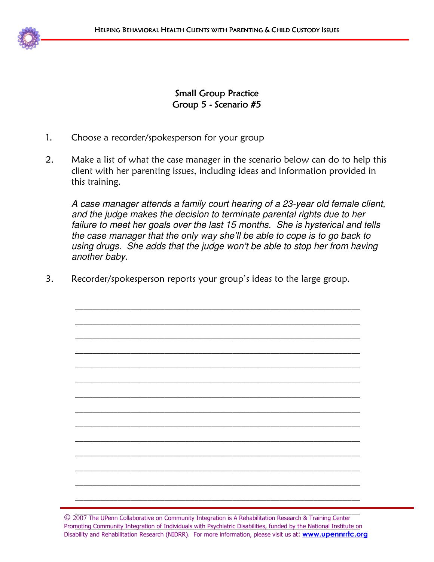**Small Group Practice** Group 5 - Scenario #5

- 1. Choose a recorder/spokesperson for your group
- 2. Make a list of what the case manager in the scenario below can do to help this client with her parenting issues, including ideas and information provided in this training.

A case manager attends a family court hearing of a 23-year old female client, and the judge makes the decision to terminate parental rights due to her failure to meet her goals over the last 15 months. She is hysterical and tells the case manager that the only way she'll be able to cope is to go back to using drugs. She adds that the judge won't be able to stop her from having another baby.

3. Recorder/spokesperson reports your group's ideas to the large group.

\_\_\_\_\_\_\_\_\_\_\_\_\_\_\_\_\_\_\_\_\_\_\_\_\_\_\_\_\_\_\_\_\_\_\_\_\_\_\_\_\_\_\_\_\_\_\_\_\_\_\_\_\_\_\_\_\_\_\_\_\_\_\_\_\_\_\_

\_\_\_\_\_\_\_\_\_\_\_\_\_\_\_\_\_\_\_\_\_\_\_\_\_\_\_\_\_\_\_\_\_\_\_\_\_\_\_\_\_\_\_\_\_\_\_\_\_\_\_\_\_\_\_\_\_\_\_\_\_\_\_\_\_\_\_

\_\_\_\_\_\_\_\_\_\_\_\_\_\_\_\_\_\_\_\_\_\_\_\_\_\_\_\_\_\_\_\_\_\_\_\_\_\_\_\_\_\_\_\_\_\_\_\_\_\_\_\_\_\_\_\_\_\_\_\_\_\_\_\_\_\_\_

\_\_\_\_\_\_\_\_\_\_\_\_\_\_\_\_\_\_\_\_\_\_\_\_\_\_\_\_\_\_\_\_\_\_\_\_\_\_\_\_\_\_\_\_\_\_\_\_\_\_\_\_\_\_\_\_\_\_\_\_\_\_\_\_\_\_\_

\_\_\_\_\_\_\_\_\_\_\_\_\_\_\_\_\_\_\_\_\_\_\_\_\_\_\_\_\_\_\_\_\_\_\_\_\_\_\_\_\_\_\_\_\_\_\_\_\_\_\_\_\_\_\_\_\_\_\_\_\_\_\_\_\_\_\_

\_\_\_\_\_\_\_\_\_\_\_\_\_\_\_\_\_\_\_\_\_\_\_\_\_\_\_\_\_\_\_\_\_\_\_\_\_\_\_\_\_\_\_\_\_\_\_\_\_\_\_\_\_\_\_\_\_\_\_\_\_\_\_\_\_\_\_

\_\_\_\_\_\_\_\_\_\_\_\_\_\_\_\_\_\_\_\_\_\_\_\_\_\_\_\_\_\_\_\_\_\_\_\_\_\_\_\_\_\_\_\_\_\_\_\_\_\_\_\_\_\_\_\_\_\_\_\_\_\_\_\_\_\_\_

\_\_\_\_\_\_\_\_\_\_\_\_\_\_\_\_\_\_\_\_\_\_\_\_\_\_\_\_\_\_\_\_\_\_\_\_\_\_\_\_\_\_\_\_\_\_\_\_\_\_\_\_\_\_\_\_\_\_\_\_\_\_\_\_\_\_\_

\_\_\_\_\_\_\_\_\_\_\_\_\_\_\_\_\_\_\_\_\_\_\_\_\_\_\_\_\_\_\_\_\_\_\_\_\_\_\_\_\_\_\_\_\_\_\_\_\_\_\_\_\_\_\_\_\_\_\_\_\_\_\_\_\_\_\_

\_\_\_\_\_\_\_\_\_\_\_\_\_\_\_\_\_\_\_\_\_\_\_\_\_\_\_\_\_\_\_\_\_\_\_\_\_\_\_\_\_\_\_\_\_\_\_\_\_\_\_\_\_\_\_\_\_\_\_\_\_\_\_\_\_\_\_

\_\_\_\_\_\_\_\_\_\_\_\_\_\_\_\_\_\_\_\_\_\_\_\_\_\_\_\_\_\_\_\_\_\_\_\_\_\_\_\_\_\_\_\_\_\_\_\_\_\_\_\_\_\_\_\_\_\_\_\_\_\_\_\_\_\_\_

\_\_\_\_\_\_\_\_\_\_\_\_\_\_\_\_\_\_\_\_\_\_\_\_\_\_\_\_\_\_\_\_\_\_\_\_\_\_\_\_\_\_\_\_\_\_\_\_\_\_\_\_\_\_\_\_\_\_\_\_\_\_\_\_\_\_\_

\_\_\_\_\_\_\_\_\_\_\_\_\_\_\_\_\_\_\_\_\_\_\_\_\_\_\_\_\_\_\_\_\_\_\_\_\_\_\_\_\_\_\_\_\_\_\_\_\_\_\_\_\_\_\_\_\_\_\_\_\_\_\_\_\_\_\_

\_\_\_\_\_\_\_\_\_\_\_\_\_\_\_\_\_\_\_\_\_\_\_\_\_\_\_\_\_\_\_\_\_\_\_\_\_\_\_\_\_\_\_\_\_\_\_\_\_\_\_\_\_\_\_\_\_\_\_\_\_\_\_\_\_\_\_

© 2007 The UPenn Collaborative on Community Integration is A Rehabilitation Research & Training Center Promoting Community Integration of Individuals with Psychiatric Disabilities, funded by the National Institute on Disability and Rehabilitation Research (NIDRR). For more information, please visit us at: **www.upennrrtc.org**  $\overline{\phantom{a}}$  , and the contribution of the contribution of the contribution of the contribution of the contribution of the contribution of the contribution of the contribution of the contribution of the contribution of the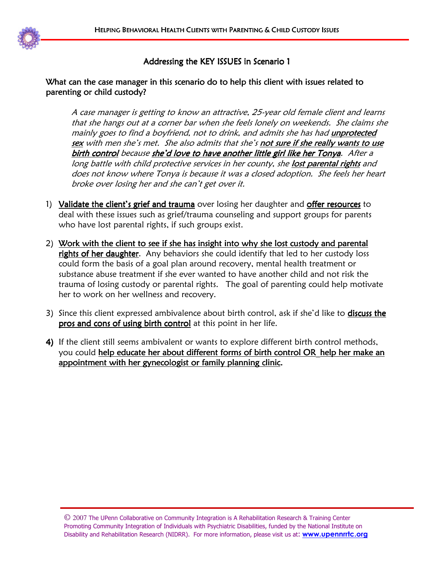

# What can the case manager in this scenario do to help this client with issues related to parenting or child custody?

A case manager is getting to know an attractive, 25-year old female client and learns that she hangs out at a corner bar when she feels lonely on weekends. She claims she mainly goes to find a boyfriend, not to drink, and admits she has had unprotected sex with men she's met. She also admits that she's not sure if she really wants to use birth control because she'd love to have another little girl like her Tonya. After a long battle with child protective services in her county, she lost parental rights and does not know where Tonya is because it was a closed adoption. She feels her heart broke over losing her and she can't get over it.

- 1) Validate the client's grief and trauma over losing her daughter and offer resources to deal with these issues such as grief/trauma counseling and support groups for parents who have lost parental rights, if such groups exist.
- 2) Work with the client to see if she has insight into why she lost custody and parental rights of her daughter. Any behaviors she could identify that led to her custody loss could form the basis of a goal plan around recovery, mental health treatment or substance abuse treatment if she ever wanted to have another child and not risk the trauma of losing custody or parental rights. The goal of parenting could help motivate her to work on her wellness and recovery.
- 3) Since this client expressed ambivalence about birth control, ask if she'd like to **discuss the** pros and cons of using birth control at this point in her life.
- 4) If the client still seems ambivalent or wants to explore different birth control methods, you could help educate her about different forms of birth control OR\_help her make an appointment with her gynecologist or family planning clinic.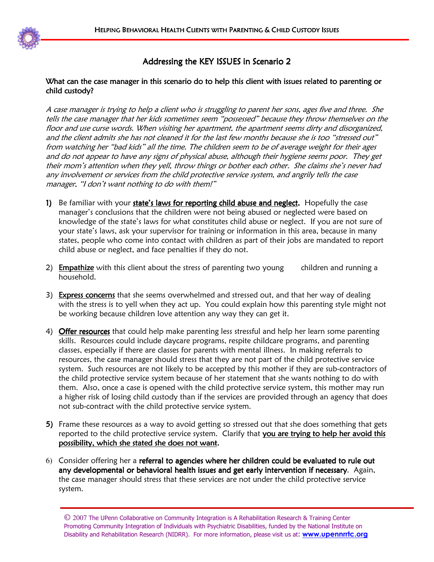

### What can the case manager in this scenario do to help this client with issues related to parenting or child custody?

A case manager is trying to help a client who is struggling to parent her sons, ages five and three. She tells the case manager that her kids sometimes seem "possessed" because they throw themselves on the floor and use curse words. When visiting her apartment, the apartment seems dirty and disorganized, and the client admits she has not cleaned it for the last few months because she is too "stressed out" from watching her "bad kids" all the time. The children seem to be of average weight for their ages and do not appear to have any signs of physical abuse, although their hygiene seems poor. They get their mom's attention when they yell, throw things or bother each other. She claims she's never had any involvement or services from the child protective service system, and angrily tells the case manager, "I don't want nothing to do with them!"

- 1) Be familiar with your state's laws for reporting child abuse and neglect. Hopefully the case manager's conclusions that the children were not being abused or neglected were based on knowledge of the state's laws for what constitutes child abuse or neglect. If you are not sure of your state's laws, ask your supervisor for training or information in this area, because in many states, people who come into contact with children as part of their jobs are mandated to report child abuse or neglect, and face penalties if they do not.
- 2) **Empathize** with this client about the stress of parenting two young children and running a household.
- 3) Express concerns that she seems overwhelmed and stressed out, and that her way of dealing with the stress is to yell when they act up. You could explain how this parenting style might not be working because children love attention any way they can get it.
- 4) Offer resources that could help make parenting less stressful and help her learn some parenting skills. Resources could include daycare programs, respite childcare programs, and parenting classes, especially if there are classes for parents with mental illness. In making referrals to resources, the case manager should stress that they are not part of the child protective service system. Such resources are not likely to be accepted by this mother if they are sub-contractors of the child protective service system because of her statement that she wants nothing to do with them. Also, once a case is opened with the child protective service system, this mother may run a higher risk of losing child custody than if the services are provided through an agency that does not sub-contract with the child protective service system.
- 5) Frame these resources as a way to avoid getting so stressed out that she does something that gets reported to the child protective service system. Clarify that you are trying to help her avoid this possibility, which she stated she does not want.
- 6) Consider offering her a referral to agencies where her children could be evaluated to rule out any developmental or behavioral health issues and get early intervention if necessary. Again, the case manager should stress that these services are not under the child protective service system.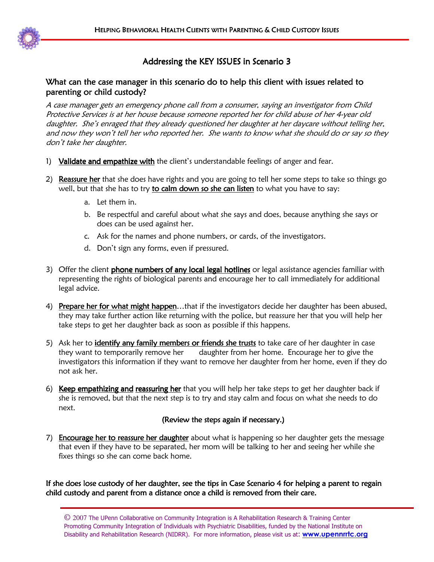

# What can the case manager in this scenario do to help this client with issues related to parenting or child custody?

A case manager gets an emergency phone call from a consumer, saying an investigator from Child Protective Services is at her house because someone reported her for child abuse of her 4-year old daughter. She's enraged that they already questioned her daughter at her daycare without telling her, and now they won't tell her who reported her. She wants to know what she should do or say so they don't take her daughter.

- 1) Validate and empathize with the client's understandable feelings of anger and fear.
- 2) Reassure her that she does have rights and you are going to tell her some steps to take so things go well, but that she has to try to calm down so she can listen to what you have to say:
	- a. Let them in.
	- b. Be respectful and careful about what she says and does, because anything she says or does can be used against her.
	- c. Ask for the names and phone numbers, or cards, of the investigators.
	- d. Don't sign any forms, even if pressured.
- 3) Offer the client phone numbers of any local legal hotlines or legal assistance agencies familiar with representing the rights of biological parents and encourage her to call immediately for additional legal advice.
- 4) Prepare her for what might happen...that if the investigators decide her daughter has been abused, they may take further action like returning with the police, but reassure her that you will help her take steps to get her daughter back as soon as possible if this happens.
- 5) Ask her to *identify any family members or friends she trusts* to take care of her daughter in case they want to temporarily remove her daughter from her home. Encourage her to give the investigators this information if they want to remove her daughter from her home, even if they do not ask her.
- 6) Keep empathizing and reassuring her that you will help her take steps to get her daughter back if she is removed, but that the next step is to try and stay calm and focus on what she needs to do next.

# (Review the steps again if necessary.)

7) Encourage her to reassure her daughter about what is happening so her daughter gets the message that even if they have to be separated, her mom will be talking to her and seeing her while she fixes things so she can come back home.

If she does lose custody of her daughter, see the tips in Case Scenario 4 for helping a parent to regain child custody and parent from a distance once a child is removed from their care.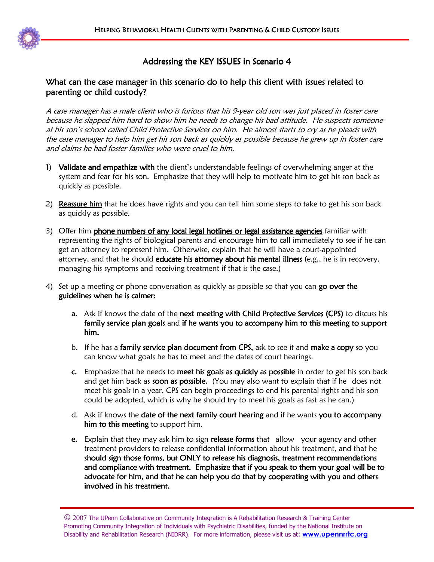

# What can the case manager in this scenario do to help this client with issues related to parenting or child custody?

A case manager has a male client who is furious that his 9-year old son was just placed in foster care because he slapped him hard to show him he needs to change his bad attitude. He suspects someone at his son's school called Child Protective Services on him. He almost starts to cry as he pleads with the case manager to help him get his son back as quickly as possible because he grew up in foster care and claims he had foster families who were cruel to him.

- 1) Validate and empathize with the client's understandable feelings of overwhelming anger at the system and fear for his son. Emphasize that they will help to motivate him to get his son back as quickly as possible.
- 2) Reassure him that he does have rights and you can tell him some steps to take to get his son back as quickly as possible.
- 3) Offer him phone numbers of any local legal hotlines or legal assistance agencies familiar with representing the rights of biological parents and encourage him to call immediately to see if he can get an attorney to represent him. Otherwise, explain that he will have a court-appointed attorney, and that he should educate his attorney about his mental illness (e.g., he is in recovery, managing his symptoms and receiving treatment if that is the case.)
- 4) Set up a meeting or phone conversation as quickly as possible so that you can go over the guidelines when he is calmer:
	- a. Ask if knows the date of the next meeting with Child Protective Services (CPS) to discuss his family service plan goals and if he wants you to accompany him to this meeting to support him.
	- b. If he has a family service plan document from CPS, ask to see it and make a copy so you can know what goals he has to meet and the dates of court hearings.
	- c. Emphasize that he needs to meet his goals as quickly as possible in order to get his son back and get him back as soon as possible. (You may also want to explain that if he does not meet his goals in a year, CPS can begin proceedings to end his parental rights and his son could be adopted, which is why he should try to meet his goals as fast as he can.)
	- d. Ask if knows the date of the next family court hearing and if he wants you to accompany him to this meeting to support him.
	- e. Explain that they may ask him to sign release forms that allow your agency and other treatment providers to release confidential information about his treatment, and that he should sign those forms, but ONLY to release his diagnosis, treatment recommendations and compliance with treatment. Emphasize that if you speak to them your goal will be to advocate for him, and that he can help you do that by cooperating with you and others involved in his treatment.

<sup>©</sup> 2007 The UPenn Collaborative on Community Integration is A Rehabilitation Research & Training Center Promoting Community Integration of Individuals with Psychiatric Disabilities, funded by the National Institute on Disability and Rehabilitation Research (NIDRR). For more information, please visit us at: **www.upennrrtc.org**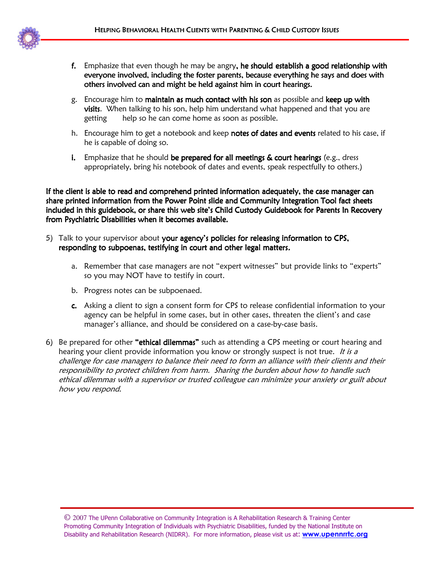

- f. Emphasize that even though he may be angry, he should establish a good relationship with everyone involved, including the foster parents, because everything he says and does with others involved can and might be held against him in court hearings.
- g. Encourage him to maintain as much contact with his son as possible and keep up with visits. When talking to his son, help him understand what happened and that you are getting help so he can come home as soon as possible.
- h. Encourage him to get a notebook and keep notes of dates and events related to his case, if he is capable of doing so.
- i. Emphasize that he should be prepared for all meetings & court hearings (e.g., dress appropriately, bring his notebook of dates and events, speak respectfully to others.)

If the client is able to read and comprehend printed information adequately, the case manager can share printed information from the Power Point slide and Community Integration Tool fact sheets included in this guidebook, or share this web site's Child Custody Guidebook for Parents In Recovery from Psychiatric Disabilities when it becomes available.

- 5) Talk to your supervisor about your agency's policies for releasing information to CPS, responding to subpoenas, testifying in court and other legal matters.
	- a. Remember that case managers are not "expert witnesses" but provide links to "experts" so you may NOT have to testify in court.
	- b. Progress notes can be subpoenaed.
	- c. Asking a client to sign a consent form for CPS to release confidential information to your agency can be helpful in some cases, but in other cases, threaten the client's and case manager's alliance, and should be considered on a case-by-case basis.
- 6) Be prepared for other "ethical dilemmas" such as attending a CPS meeting or court hearing and hearing your client provide information you know or strongly suspect is not true. It is a challenge for case managers to balance their need to form an alliance with their clients and their responsibility to protect children from harm. Sharing the burden about how to handle such ethical dilemmas with a supervisor or trusted colleague can minimize your anxiety or guilt about how you respond.